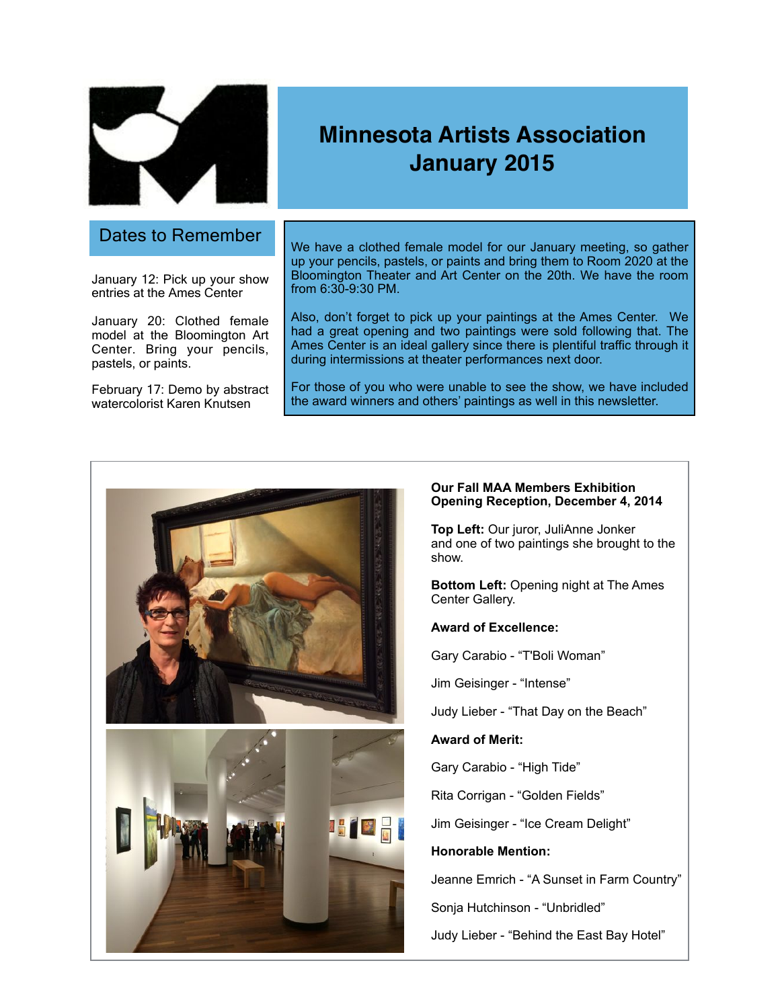

# **Minnesota Artists Association January 2015**

### Dates to Remember

January 12: Pick up your show entries at the Ames Center

January 20: Clothed female model at the Bloomington Art Center. Bring your pencils, pastels, or paints.

February 17: Demo by abstract watercolorist Karen Knutsen

We have a clothed female model for our January meeting, so gather up your pencils, pastels, or paints and bring them to Room 2020 at the Bloomington Theater and Art Center on the 20th. We have the room from 6:30-9:30 PM.

Also, don't forget to pick up your paintings at the Ames Center. We had a great opening and two paintings were sold following that. The Ames Center is an ideal gallery since there is plentiful traffic through it during intermissions at theater performances next door.

For those of you who were unable to see the show, we have included the award winners and others' paintings as well in this newsletter.



#### **Our Fall MAA Members Exhibition Opening Reception, December 4, 2014**

**Top Left:** Our juror, JuliAnne Jonker and one of two paintings she brought to the show.

**Bottom Left:** Opening night at The Ames Center Gallery.

**Award of Excellence:**

Gary Carabio - "T'Boli Woman"

Jim Geisinger - "Intense"

Judy Lieber - "That Day on the Beach"

#### **Award of Merit:**

Gary Carabio - "High Tide"

Rita Corrigan - "Golden Fields"

Jim Geisinger - "Ice Cream Delight"

#### **Honorable Mention:**

Jeanne Emrich - "A Sunset in Farm Country"

Sonja Hutchinson - "Unbridled"

Judy Lieber - "Behind the East Bay Hotel"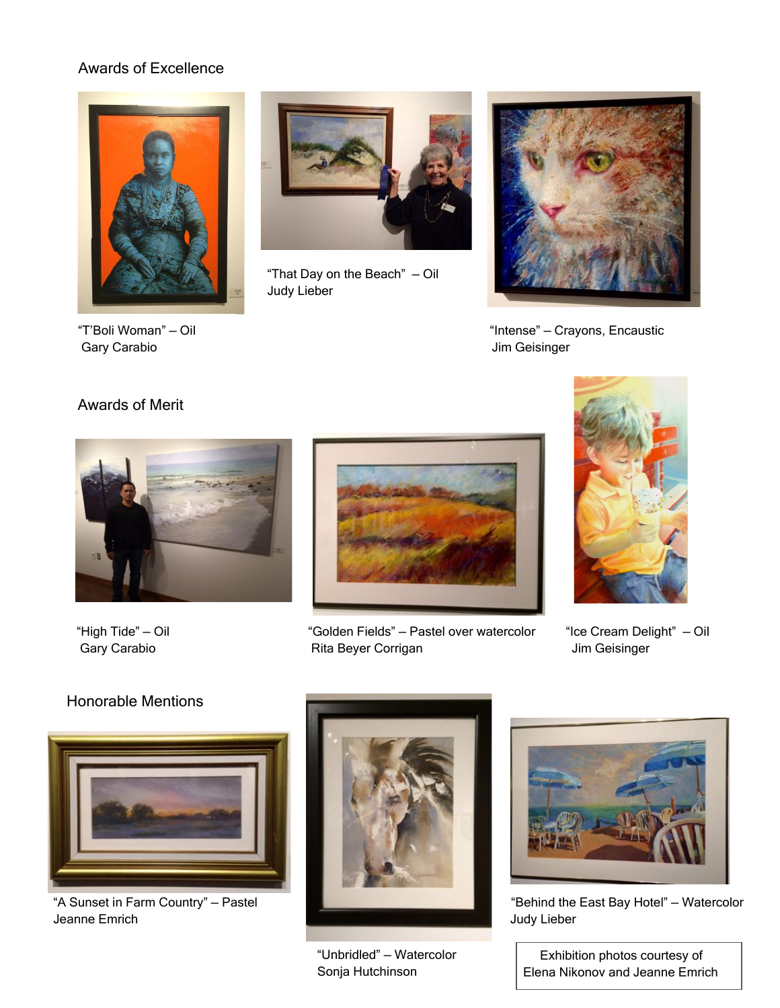### Awards of Excellence



Gary Carabio **Gary Carabio Gary Carabio Jim Geisinger** 



"That Day on the Beach" — Oil Judy Lieber



"T'Boli Woman" — Oil "Intense" — Crayons, Encaustic

## Awards of Merit





"High Tide" — Oil "Golden Fields" — Pastel over watercolor "Ice Cream Delight" — Oil Gary Carabio **Carabio Rita Beyer Corrigan Cary Carabio** Jim Geisinger



### Honorable Mentions



Jeanne Emrich **Judy Lieber** Judy Lieber



"Unbridled" — Watercolor Sonja Hutchinson



"A Sunset in Farm Country" – Pastel Notel Network and Basic Bay Hotel" – Watercolor

 Exhibition photos courtesy of Elena Nikonov and Jeanne Emrich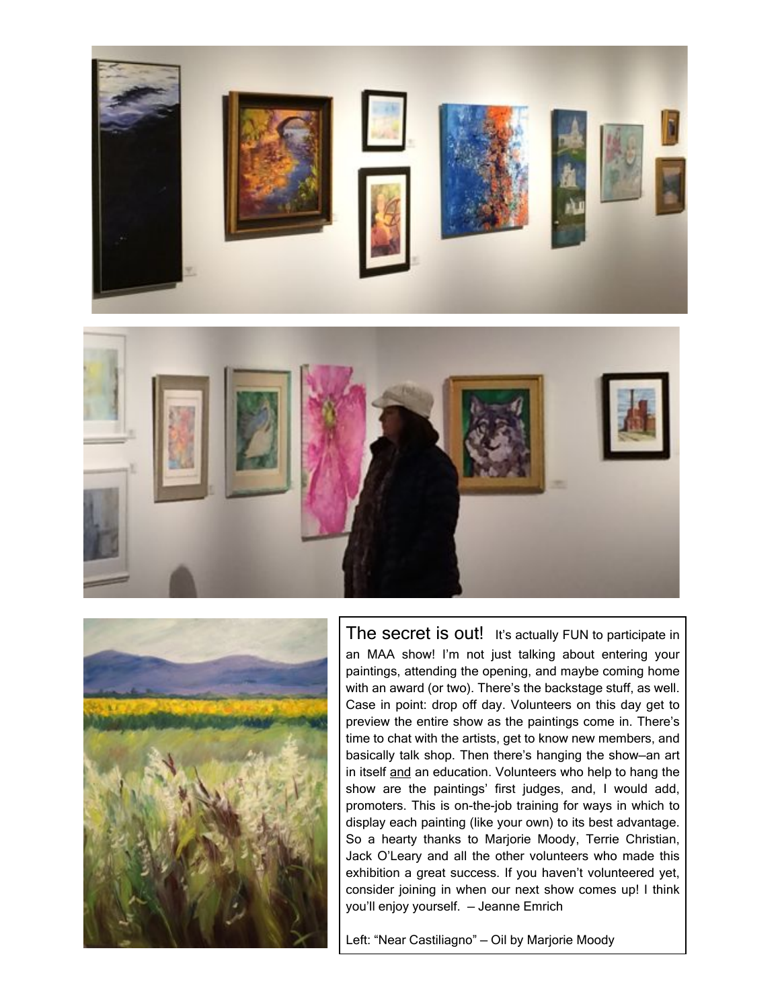



The secret is out! It's actually FUN to participate in an MAA show! I'm not just talking about entering your paintings, attending the opening, and maybe coming home with an award (or two). There's the backstage stuff, as well. Case in point: drop off day. Volunteers on this day get to preview the entire show as the paintings come in. There's time to chat with the artists, get to know new members, and basically talk shop. Then there's hanging the show—an art in itself and an education. Volunteers who help to hang the show are the paintings' first judges, and, I would add, promoters. This is on-the-job training for ways in which to display each painting (like your own) to its best advantage. So a hearty thanks to Marjorie Moody, Terrie Christian, Jack O'Leary and all the other volunteers who made this exhibition a great success. If you haven't volunteered yet, consider joining in when our next show comes up! I think you'll enjoy yourself. — Jeanne Emrich

Left: "Near Castiliagno" — Oil by Marjorie Moody